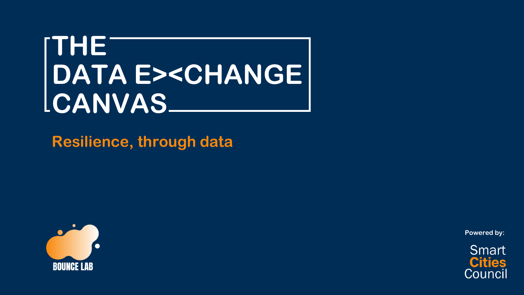# **THE DATA E><CHANGE CANVAS**

**Resilience, through data**



**Powered by:**

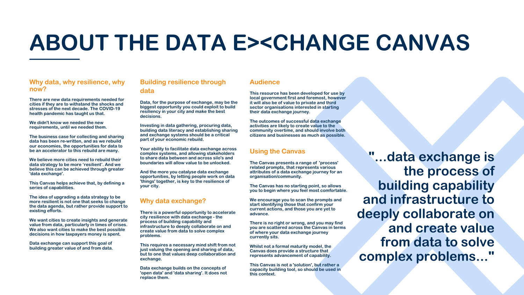# **ABOUT THE DATA E><CHANGE CANVAS**

### **Why data, why resilience, why now?**

**There are new data requirements needed for cities if they are to withstand the shocks and stresses of the next decade. The COVID-19 health pandemic has taught us that.**

**We didn't know we needed the new requirements, until we needed them.**

**The business case for collecting and sharing data has been re-written, and as we rebuild our economies, the opportunities for data to be an accelerator to this rebuild are many.**

**We believe more cities need to rebuild their data strategy to be more 'resilient'. And we believe this can be achieved through greater 'data exchange'.**

**This Canvas helps achieve that, by defining a series of capabilities.**

**The idea of upgrading a data strategy to be more resilient is not one that seeks to change the data agenda, but rather provide support to existing efforts.**

**We want cities to create insights and generate value from data, particularly in times of crises. We also want cities to make the best possible decisions in how taxpayers money is spent.**

**Data exchange can support this goal of building greater value of and from data.**

## **Building resilience through data**

**Data, for the purpose of exchange, may be the biggest opportunity you could exploit to build resiliency in your city and make the best decisions.**

**Investing in data gathering, procuring data, building data literacy and establishing sharing and exchange systems should be a critical part of your economic rebuild.**

**Your ability to facilitate data exchange across complex systems, and allowing stakeholders to share data between and across silo's and boundaries will allow value to be unlocked.**

**And the more you catalyse data exchange opportunities, by letting people work on data 'things' together, is key to the resilience of your city.**

## **Using the Canvas**

**The Canvas presents a range of 'process' related prompts, that represents various attributes of a data exchange journey for an organisation/community.**

**The Canvas has no starting point, so allows you to begin where you feel most comfortable.**

**We encourage you to scan the prompts and start identifying those that confirm your current actions, and those you are yet to advance.**

**There is no right or wrong, and you may find you are scattered across the Canvas in terms of where your data exchange journey currently sits.**

**Whilst not a formal maturity model, the Canvas does provide a structure that represents advancement of capability.**

**This Canvas is not a 'solution', but rather a capacity building tool, so should be used in this context.**

- 
- 
- 
- 
- 
- 
- 
- 

### **Why data exchange?**

**There is a powerful opportunity to accelerate city resilience with data exchange - the process of building capability and infrastructure to deeply collaborate on and create value from data to solve complex problems.**

**This requires a necessary mind shift from not just valuing the opening and sharing of data, but to one that values deep collaboration and exchange.**

**Data exchange builds on the concepts of 'open data' and 'data sharing'. It does not replace them.**

**"...data exchange is the process of building capability and infrastructure to deeply collaborate on and create value from data to solve complex problems..."**

## **Audience**

**This resource has been developed for use by local government first and foremost, however it will also be of value to private and third sector organisations interested in starting their data exchange journey.**

**The outcomes of successful data exchange activities are likely to create value to the community overtime, and should involve both citizens and businesses as much as possible.**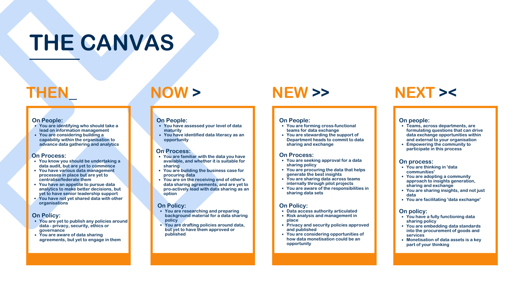# **THEN\_ NOW >**

- **You have assessed your level of data maturity**
- **You have identified data literacy as an opportunity**

### **On People:**

- **You are identifying who should take a lead on information management**
- **You are considering building a capability within the organisation to advance data gathering and analytics**

### **On People:**

- **On Process:** *You are familiar with the data you have* **available, and whether it is suitable for sharing**
	- **You are building the business case for procuring data**
	- **You are on the receiving end of other's data sharing agreements, and are yet to pro-actively lead with data sharing as an option**
- **You know you should be undertaking a data audit, but are yet to commence**
- **You have various data management processes in place but are yet to centralise/federate them**
- **You have an appetite to pursue data analytics to make better decisions, but yet to have senior leadership support**
- **You have not yet shared data with other organisations**

### **On Process:**

- **You are yet to publish any policies around data - privacy, security, ethics or governance**
- **You are aware of data sharing agreements, but yet to engage in them**

### **On Policy:**

- **You are researching and preparing background material for a data sharing policy**
- **You are drafting policies around data, but yet to have them approved or published**

### **On Policy:**

## **NEW >>**

- **You are forming cross-functional teams for data exchange**
- **You are stewarding the support of Department heads to commit to data sharing and exchange**

### **On People:**

- **You are seeking approval for a data sharing policy**
- **You are procuring the data that helps generate the best insights**
- **You are sharing data across teams internally through pilot projects**
- **sharing data sets**

**You are aware of the responsibilities in**

### **On Process:**

- **Data access authority articulated**
- **Risk analysis and management in place**
- **Privacy and security policies approved and published**
- **You are considering opportunities of how data monetisation could be an opportunity**

### **On Policy:**

## **NEXT ><**

- **Teams, across departments, are formulating questions that can drive data exchange opportunities within and external to your organisation**
- **Empowering the community to participate in this process**

### **On people:**

- **You are thinking in 'data communities'**
- **You are adopting a community approach to insights generation, sharing and exchange**
- **You are sharing insights, and not just data**
- **You are facilitating 'data exchange'**

### **On process:**

- **You have a fully functioning data sharing policy**
- **You are embedding data standards into the procurement of goods and services**
- **Monetisation of data assets is a key part of your thinking**

### **On policy:**

# **THE CANVAS**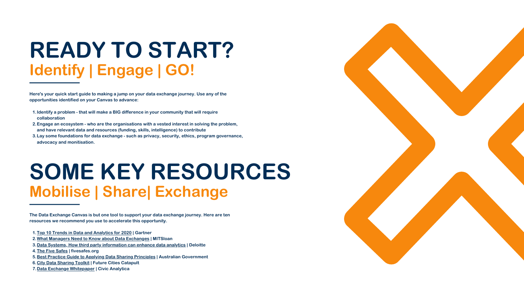# **READY TO START? Identify | Engage | GO!**

- 1. Identify a problem that will make a BIG difference in your community that will require **collaboration**
- **Engage an ecosystem who are the organisations with a vested interest in solving the problem, 2. and have relevant data and resources (funding, skills, intelligence) to contribute**
- **Lay some foundations for data exchange such as privacy, security, ethics, program governance, 3. advocacy and monitisation.**

**Here's your quick start guide to making a jump on your data exchange journey. Use any of the opportunities identified on your Canvas to advance:**

# **SOME KEY RESOURCES Mobilise | Share| Exchange**

- **[Top 10 Trends in Data and Analytics for 2020](https://www.gartner.com/smarterwithgartner/gartner-top-10-trends-in-data-and-analytics-for-2020/?utm_content=137090258&utm_medium=social&utm_source=linkedin&hss_channel=lcp-11191394) | Gartner 1.**
- **[What Managers Need to Know about Data Exchanges](https://shop.sloanreview.mit.edu/store/what-managers-need-to-know-about-data-exchanges) | MITSloan 2.**
- **[Data Systems, How third party information can enhance data analytics](https://www2.deloitte.com/content/dam/insights/us/articles/4603_Data-ecosystems/DI_Data-ecosystems.pdf) | Deloitte 3.**
- **[The Five Safes](http://www.fivesafes.org/) | fivesafes.org 4.**
- **[Best Practice Guide to Applying Data Sharing Principles](https://www.pmc.gov.au/resource-centre/public-data/data-sharing-principles) | Australian Government 5.**
- **[City Data Sharing Toolkit](https://futurecities.catapult.org.uk/wp-content/uploads/2018/10/City-Data-Sharing-Toolkit_V1.1_FCC_Oct2018.pdf) | Future Cities Catapult 6.**
- **[Data Exchange Whitepaper](https://smartcitiescouncil.typeform.com/to/tnhHQcPi) | Civic Analytica 7.**



**The Data Exchange Canvas is but one tool to support your data exchange journey. Here are ten resources we recommend you use to accelerate this opportunity.**